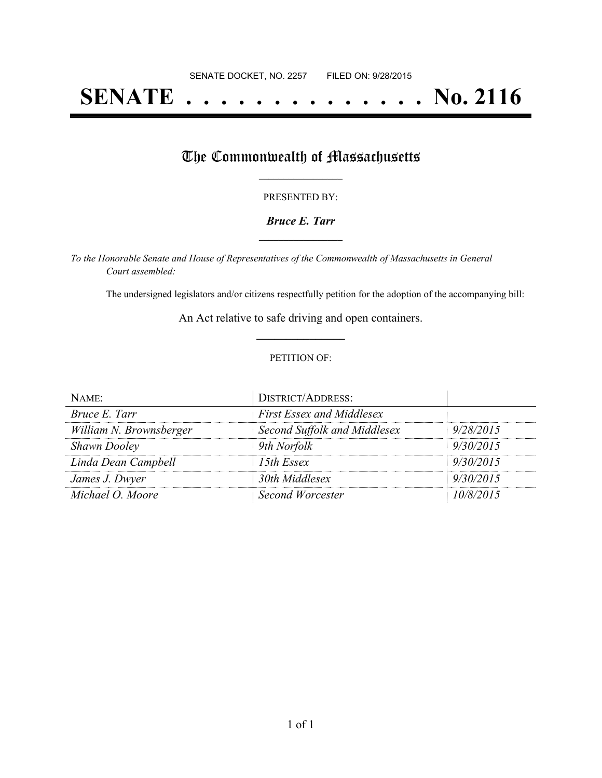# **SENATE . . . . . . . . . . . . . . No. 2116**

### The Commonwealth of Massachusetts

#### PRESENTED BY:

#### *Bruce E. Tarr* **\_\_\_\_\_\_\_\_\_\_\_\_\_\_\_\_\_**

*To the Honorable Senate and House of Representatives of the Commonwealth of Massachusetts in General Court assembled:*

The undersigned legislators and/or citizens respectfully petition for the adoption of the accompanying bill:

An Act relative to safe driving and open containers. **\_\_\_\_\_\_\_\_\_\_\_\_\_\_\_**

#### PETITION OF:

| NAME:                   | <b>DISTRICT/ADDRESS:</b>         |           |
|-------------------------|----------------------------------|-----------|
| Bruce E. Tarr           | <b>First Essex and Middlesex</b> |           |
| William N. Brownsberger | Second Suffolk and Middlesex     | 9/28/2015 |
| <b>Shawn Dooley</b>     | 9th Norfolk                      | 9/30/2015 |
| Linda Dean Campbell     | 15th Essex                       | 9/30/2015 |
| James J. Dwyer          | 30th Middlesex                   | 9/30/2015 |
| Michael O. Moore        | Second Worcester                 | 10/8/2015 |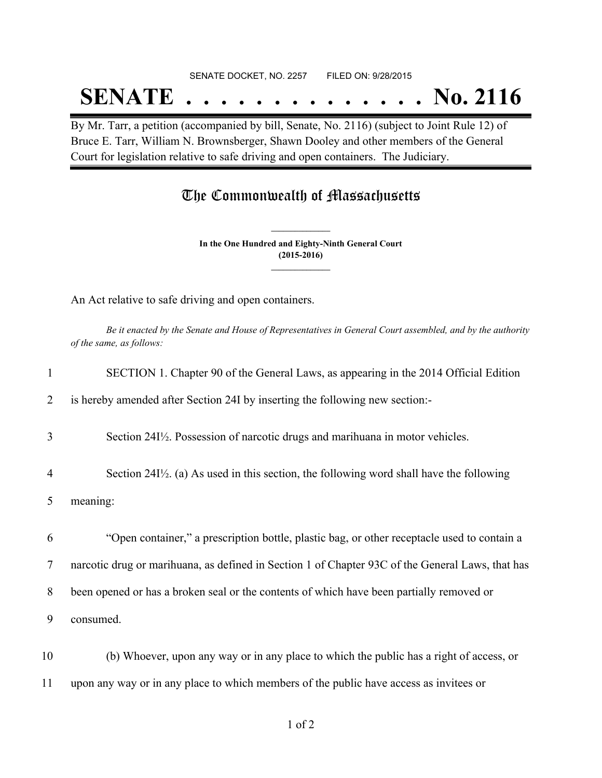#### SENATE DOCKET, NO. 2257 FILED ON: 9/28/2015

## **SENATE . . . . . . . . . . . . . . No. 2116**

By Mr. Tarr, a petition (accompanied by bill, Senate, No. 2116) (subject to Joint Rule 12) of Bruce E. Tarr, William N. Brownsberger, Shawn Dooley and other members of the General Court for legislation relative to safe driving and open containers. The Judiciary.

### The Commonwealth of Massachusetts

**In the One Hundred and Eighty-Ninth General Court (2015-2016) \_\_\_\_\_\_\_\_\_\_\_\_\_\_\_**

**\_\_\_\_\_\_\_\_\_\_\_\_\_\_\_**

An Act relative to safe driving and open containers.

Be it enacted by the Senate and House of Representatives in General Court assembled, and by the authority *of the same, as follows:*

|                | SECTION 1. Chapter 90 of the General Laws, as appearing in the 2014 Official Edition                    |
|----------------|---------------------------------------------------------------------------------------------------------|
| 2              | is hereby amended after Section 24I by inserting the following new section:-                            |
| 3              | Section 24I <sup>1</sup> / <sub>2</sub> . Possession of narcotic drugs and marihuana in motor vehicles. |
| $\overline{4}$ | Section $24I\frac{1}{2}$ . (a) As used in this section, the following word shall have the following     |
| 5              | meaning:                                                                                                |
| 6              | "Open container," a prescription bottle, plastic bag, or other receptacle used to contain a             |
| 7              | narcotic drug or marihuana, as defined in Section 1 of Chapter 93C of the General Laws, that has        |
| 8              | been opened or has a broken seal or the contents of which have been partially removed or                |
| 9              | consumed.                                                                                               |
| 10             | (b) Whoever, upon any way or in any place to which the public has a right of access, or                 |
| 11             | upon any way or in any place to which members of the public have access as invitees or                  |